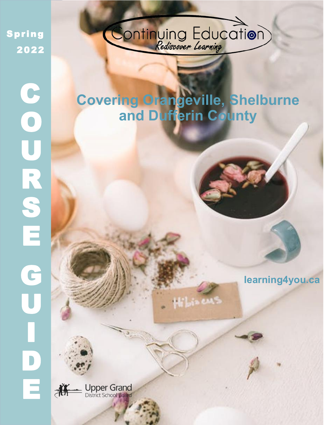Spring 2022

C

**O** 

U

R

S

E

G

**U** 

I

D

E



SPRING 2022 | 1982 | 1982 | 1982 | 1982 | 1982 | 1982 | 1982 | 1982 | 1982 | 1982 | 1982 | 1982 | 1982 | 1982

# **Covering Orangeville, Shelburne and Dufferin County**

Hilsa en

**learning4you.ca**

**Upper Grand**<br>District School Board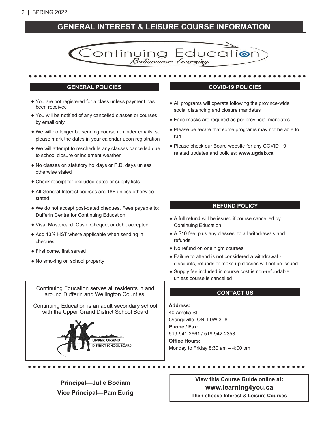## 2 | SPRING 2022

## **GENERAL INTEREST & LEISURE COURSE INFORMATION**



- ◆ You are not registered for a class unless payment has been received
- You will be notified of any cancelled classes or courses by email only
- We will no longer be sending course reminder emails, so please mark the dates in your calendar upon registration
- We will attempt to reschedule any classes cancelled due to school closure or inclement weather
- No classes on statutory holidays or P.D. days unless otherwise stated
- Check receipt for excluded dates or supply lists
- All General Interest courses are 18+ unless otherwise stated
- We do not accept post-dated cheques. Fees payable to: Dufferin Centre for Continuing Education
- Visa, Mastercard, Cash, Cheque, or debit accepted
- Add 13% HST where applicable when sending in cheques
- First come, first served
- No smoking on school property

Continuing Education serves all residents in and around Dufferin and Wellington Counties.

Continuing Education is an adult secondary school with the Upper Grand District School Board



#### **GENERAL POLICIES COVID-19 POLICIES**

- All programs will operate following the province-wide social distancing and closure mandates
- Face masks are required as per provincial mandates
- Please be aware that some programs may not be able to run
- Please check our Board website for any COVID-19 related updates and policies: **www.ugdsb.ca**

#### **REFUND POLICY**

- A full refund will be issued if course cancelled by Continuing Education
- A \$10 fee, plus any classes, to all withdrawals and refunds
- No refund on one night courses
- Failure to attend is not considered a withdrawal discounts, refunds or make up classes will not be issued
- Supply fee included in course cost is non-refundable unless course is cancelled

#### **CONTACT US**

#### **Address:**

40 Amelia St. Orangeville, ON L9W 3T8 **Phone / Fax:** 519-941-2661 / 519-942-2353 **Office Hours:** Monday to Friday 8:30 am – 4:00 pm

**Principal—Julie Bodiam Vice Principal—Pam Eurig**

**View this Course Guide online at: www.learning4you.ca Then choose Interest & Leisure Courses**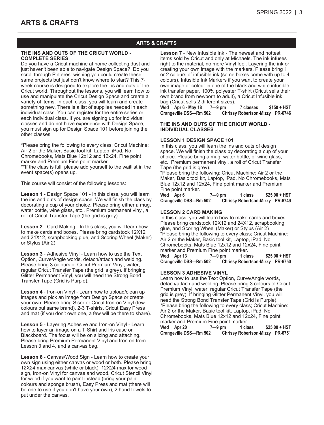## **ARTS & CRAFTS**

#### **THE INS AND OUTS OF THE CRICUT WORLD - COMPLETE SERIES**

Do you have a Cricut machine at home collecting dust and just haven't been able to navigate Design Space? Do you scroll through Pinterest wishing you could create these same projects but just don't know where to start? This 7 week course is designed to explore the ins and outs of the Cricut world. Throughout the lessons, you will learn how to use and manipulate the Cricut Design Space and create a variety of items. In each class, you will learn and create something new. There is a list of supplies needed in each individual class. You can register for the entire series or each individual class. If you are signing up for individual classes and do not have experience with Design Space, you must sign up for Design Space 101 before joining the other classes.

\*Please bring the following to every class; Cricut Machine: Air 2 or the Maker, Basic tool kit, Laptop, iPad, No Chromebooks, Mats Blue 12x12 and 12x24, Fine point marker and Premium Fine point marker. \*\*If the class is full, please add yourself to the waitlist in the event space(s) opens up.

This course will consist of the following lessons:

**Lesson 1** - Design Space 101 - In this class, you will learn the ins and outs of design space. We will finish the class by decorating a cup of your choice. Please bring either a mug, water bottle, wine glass, etc., Premium permanent vinyl, a roll of Cricut Transfer Tape (the grid is grey).

**Lesson 2** - Card Making - In this class, you will learn how to make cards and boxes. Please bring cardstock 12X12 and 24X12, scrapbooking glue, and Scoring Wheel (Maker) or Stylus (Air 2)

**Lesson 3** - Adhesive Vinyl - Learn how to use the Text Option, Curve/Angle words, detach/attach and welding. Please bring 3 colours of Cricut Premium Vinyl, water, regular Cricut Transfer Tape (the grid is grey). If bringing Glitter Permanent Vinyl, you will need the Strong Bond Transfer Tape (Grid is Purple).

**Lesson 4** - Iron-on Vinyl - Learn how to upload/clean up images and pick an image from Design Space or create your own. Please bring Siser or Cricut Iron-on Vinyl (few colours but same brand), 2-3 T-shirts, Cricut Easy Press and mat (if you don't own one, a few will be there to share).

**Lesson 5** - Layering Adhesive and Iron-on Vinyl - Learn how to layer an image on a T-Shirt and Iris case or Blackboard. The focus will be on slicing and attaching. Please bring Premium Permanent Vinyl and Iron on from Lesson 3 and 4, and a canvas bag.

**Lesson 6** - Canvas/Wood Sign - Learn how to create your own sign using either canvas or wood or both. Please bring 12X24 max canvas (white or black), 12X24 max for wood sign, Iron-on Vinyl for canvas and wood, Cricut Stencil Vinyl for wood if you want to paint instead (bring your paint colours and sponge brush), Easy Press and mat (there will be one to use if you don't have your own), 2 hand towels to put under the canvas.

**Lesson 7** - New Infusible Ink - The newest and hottest items sold by Cricut and only at Michaels. The ink infuses right to the material, no more Vinyl feel. Layering the ink or creating your own image with the markers. Please bring 1 or 2 colours of infusible ink (some boxes come with up to 4 colours), Infusible Ink Markers if you want to create your own image or colour in one of the black and white infusible ink transfer paper, 100% polyester T-shirt (Cricut sells their own brand from newborn to adult), a Cricut Infusible ink bag (Cricut sells 2 different sizes).

**Wed Apr 6 - May 18 7—9 pm 7 classes \$150 + HST Orangeville DSS—Rm 502 Chrissy Robertson-Mizzy PR-6746**

#### **THE INS AND OUTS OF THE CRICUT WORLD - INDIVIDUAL CLASSES**

#### **LESSON 1 DESIGN SPACE 101**

In this class, you will learn the ins and outs of design space. We will finish the class by decorating a cup of your choice. Please bring a mug, water bottle, or wine glass, etc., Premium permanent vinyl, a roll of Cricut Transfer Tape (the grid is grey).

\*Please bring the following: Cricut Machine: Air 2 or the Maker, Basic tool kit, Laptop, iPad, No Chromebooks, Mats Blue 12x12 and 12x24, Fine point marker and Premium Fine point marker.

**Wed Apr 6 7—9 pm 1 class \$25.00 + HST Orangeville DSS—Rm 502 Chrissy Robertson-Mizzy PR-6749**

#### **LESSON 2 CARD MAKING**

In this class, you will learn how to make cards and boxes. Please bring cardstock 12X12 and 24X12, scrapbooking glue, and Scoring Wheel (Maker) or Stylus (Air 2) \*Please bring the following to every class; Cricut Machine: Air 2 or the Maker, Basic tool kit, Laptop, iPad, No Chromebooks, Mats Blue 12x12 and 12x24, Fine point marker and Premium Fine point marker. **Wed Apr 13 7—9 pm 1 class \$25.00 + HST Orangeville DSS—Rm 502 Chrissy Robertson-Mizzy PR-6750**

#### **LESSON 3 ADHESIVE VINYL**

Learn how to use the Text Option, Curve/Angle words, detach/attach and welding. Please bring 3 colours of Cricut Premium Vinyl, water, regular Cricut Transfer Tape (the grid is grey). If bringing Glitter Permanent Vinyl, you will need the Strong Bond Transfer Tape (Grid is Purple). \*Please bring the following to every class; Cricut Machine: Air 2 or the Maker, Basic tool kit, Laptop, iPad, No Chromebooks, Mats Blue 12x12 and 12x24, Fine point marker and Premium Fine point marker.

**Wed Apr 20 7—9 pm 1 class \$25.00 + HST Orangeville DSS—Rm 502 Chrissy Robertson-Mizzy PR-6751**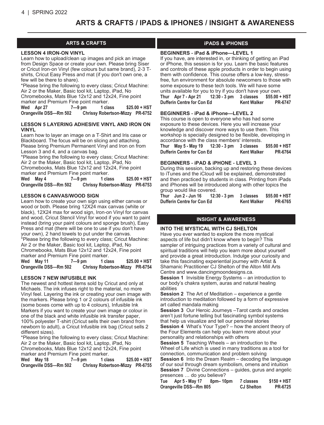## **ARTS & CRAFTS / IPADS & IPHONES / INSIGHT & AWARENESS**

#### **LESSON 4 IRON-ON VINYL**

Learn how to upload/clean up images and pick an image from Design Space or create your own. Please bring Siser or Cricut Iron-on Vinyl (few colours but same brand), 2-3 Tshirts, Cricut Easy Press and mat (if you don't own one, a few will be there to share).

\*Please bring the following to every class; Cricut Machine: Air 2 or the Maker, Basic tool kit, Laptop, iPad, No Chromebooks, Mats Blue 12x12 and 12x24, Fine point marker and Premium Fine point marker.

**Wed Apr 27 7—9 pm 1 class \$25.00 + HST Orangeville DSS—Rm 502 Chrissy Robertson-Mizzy PR-6752**

#### **LESSON 5 LAYERING ADHESIVE VINYL AND IRON ON VINYL**

Learn how to layer an image on a T-Shirt and Iris case or Blackboard. The focus will be on slicing and attaching. Please bring Premium Permanent Vinyl and Iron on from Lesson 3 and 4, and a canvas bag.

\*Please bring the following to every class; Cricut Machine: Air 2 or the Maker, Basic tool kit, Laptop, iPad, No Chromebooks, Mats Blue 12x12 and 12x24, Fine point marker and Premium Fine point marker.

**Wed May 4 7—9 pm 1 class \$25.00 + HST Orangeville DSS—Rm 502 Chrissy Robertson-Mizzy PR-6753**

#### **LESSON 6 CANVAS/WOOD SIGN**

Learn how to create your own sign using either canvas or wood or both. Please bring 12X24 max canvas (white or black), 12X24 max for wood sign, Iron-on Vinyl for canvas and wood, Cricut Stencil Vinyl for wood if you want to paint instead (bring your paint colours and sponge brush), Easy Press and mat (there will be one to use if you don't have your own), 2 hand towels to put under the canvas. \*Please bring the following to every class; Cricut Machine: Air 2 or the Maker, Basic tool kit, Laptop, iPad, No Chromebooks, Mats Blue 12x12 and 12x24, Fine point marker and Premium Fine point marker.

**Wed May 11 7—9 pm 1 class \$25.00 + HST Orangeville DSS—Rm 502 Chrissy Robertson-Mizzy PR-6754**

#### **LESSON 7 NEW INFUSIBLE INK**

The newest and hottest items sold by Cricut and only at Michaels. The ink infuses right to the material, no more Vinyl feel. Layering the ink or creating your own image with the markers. Please bring 1 or 2 colours of infusible ink (some boxes come with up to 4 colours), Infusible Ink Markers if you want to create your own image or colour in one of the black and white infusible ink transfer paper, 100% polyester T-shirt (Cricut sells their own brand from newborn to adult), a Cricut Infusible ink bag (Cricut sells 2 different sizes).

\*Please bring the following to every class; Cricut Machine: Air 2 or the Maker, Basic tool kit, Laptop, iPad, No Chromebooks, Mats Blue 12x12 and 12x24, Fine point marker and Premium Fine point marker.

| Wed | May 18                 | 7—9 pm | 1 class                         | $$25.00 + HST$ |
|-----|------------------------|--------|---------------------------------|----------------|
|     | Orangeville DSS-Rm 502 |        | Chrissy Robertson-Mizzy PR-6755 |                |

#### **ARTS & CRAFTS iPADS & iPHONES**

#### **BEGINNERS - iPad & iPhone—LEVEL 1**

If you have, are interested in, or thinking of getting an iPad or iPhone, this session is for you. Learn the basic features and controls of these apple products in order to begin using them with confidence. This course offers a low-key, stressfree, fun environment for absolute newcomers to those with some exposure to these tech tools. We will have some units available for you to try if you don't have your own. **Thur Apr 7 - Apr 21 12:30 - 3 pm 3 classes \$55.00 + HST Dufferin Centre for Con Ed Kent Walker PR-6747**

#### **BEGINNERS - iPad & iPhone—LEVEL 2**

This course is open to everyone who has had some exposure to these devices. Here you will increase your knowledge and discover more ways to use them. This workshop is specially designed to be flexible, developing in accordance with the class members' interests.

**Thur May 5 - May 19 12:30 - 3 pm 3 classes \$55.00 + HST Dufferin Centre for Con Ed Kent Walker PR-6764** 

#### **BEGINNERS - iPAD & iPHONE - LEVEL 3**

During this session, backing up and restoring these devices to iTunes and the iCloud will be explained, demonstrated and then practiced by students in class. Printing from iPads and iPhones will be introduced along with other topics the group would like covered.

**Thur Jun 2 - Jun 16 12:30 - 3 pm 3 classes \$55.00 + HST Dufferin Centre for Con Ed** 

## **INSIGHT & AWARENESS**

#### **INTO THE MYSTICAL WITH CJ SHELTON**

Have you ever wanted to explore the more mystical aspects of life but didn't know where to begin? This sampler of intriguing practices from a variety of cultural and spiritual traditions will help you learn more about yourself and provide a great introduction. Indulge your curiosity and take this fascinating experiential journey with Artist & Shamanic Practitioner CJ Shelton of the Alton Mill Arts Centre and www.dancingmoondesigns.ca.

**Session 1** Invisible Energy Systems – an introduction to our body's chakra system, auras and natural healing abilities

**Session 2** The Art of Meditation – experience a gentle introduction to meditation followed by a form of expressive art called mandala making

**Session 3** Our Heroic Journeys –Tarot cards and oracles aren't just fortune telling but fascinating symbol systems that help us visualize and tell our personal stories **Session 4** What's Your Type? – how the ancient theory of the Four Elements can help you learn more about your

personality and relationships with others

**Session 5** Teaching Wheels – an introduction to the Wheel of Life which is used in many traditions as a tool for connection, communication and problem solving

**Session 6** Into the Dream Realm – decoding the language of our soul through dream symbolism, omens and intuition **Session 7** Divine Connections – guides, gurus and angelic presences … do you believe?

**Tue Apr 5 - May 17 8pm– 10pm 7 classes \$150 + HST Orangeville DSS—Rm 805 CJ Shelton PR-6725**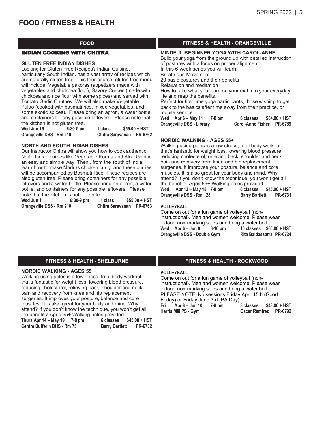#### INDIAN COOKING WITH CHITRA

#### **GLUTEN FREE INDIAN DISHES**

Looking for Gluten Free Recipes? Indian Cuisine, particularly South Indian, has a vast array of recipes which are naturally gluten free. This four-course, gluten free menu will include: Vegetable pakoras (appetizers made with vegetables and chickpea flour), Savory Crepes (made with chickpea and rice flour with some spices) and served with Tomato Garlic Chutney. We will also make Vegetable Pulao (cooked with basmati rice, mixed vegetables, and some exotic spices). Please bring an apron, a water bottle, and containers for any possible leftovers. Please note that the kitchen is not gluten free.

| Wed Jun 15               | $6:30-9$ pm      | 1 class |                | $$55.00 + HST$ |
|--------------------------|------------------|---------|----------------|----------------|
| Orangeville DSS - Rm 210 | Chitra Saravanan |         | <b>PR-6762</b> |                |

#### **NORTH AND SOUTH INDIAN DISHES**

Our instructor Chitra will show you how to cook authentic North Indian curries like Vegetable Korma and Aloo Gobi in an easy and simple way. Then...from the south of India, learn how to make Madras chicken curry, and these curries will be accompanied by Basmati Rice. These recipes are also gluten free. Please bring containers for any possible leftovers and a water bottle. Please bring an apron, a water bottle, and containers for any possible leftovers. Please note that the kitchen is not gluten free.

| Wed Jun 1                | $6:30-9$ pm | 1 class          | $$55.00 + HST$ |
|--------------------------|-------------|------------------|----------------|
| Orangeville DSS - Rm 210 |             | Chitra Saravanan | <b>PR-6763</b> |

## **FOOD FITNESS & HEALTH - ORANGEVILLE**

#### **MINDFUL BEGINNER YOGA WITH CAROL-ANNE**

Build your yoga from the ground up with detailed instruction of postures with a focus on proper alignment.

In this 6-week series you will learn: Breath and Movement

20 basic postures and their benefits

Relaxation and meditation

How to take what you learn on your mat into your everyday life and reap the benefits.

Perfect for first time yoga participants, those wishing to get back to the basics after time away from their practice, or mobile seniors.

**Wed Apr 6 – May 11 7-8 pm 6 classes \$84.00 + HST Orangeville DSS - Library Carol-Anne Fisher PR-6789**

#### **NORDIC WALKING - AGES 55+**

Walking using poles is a low stress, total body workout that's fantastic for weight loss, lowering blood pressure, reducing cholesterol, relieving back, shoulder and neck pain and recovery from knee and hip replacement surgeries. It improves your posture, balance and core muscles. It is also great for your body and mind. Why attend? If you don't know the technique, you won't get all the benefits! Ages 55+ Walking poles provided.

**Wed Apr 13 – May 18 7-8 pm 6 classes \$45.00 + HST Orangeville DSS - Rm 128 Barry Bartlett PR-6731**

#### **VOLLEYBALL**

Come on out for a fun game of volleyball (noninstructional). Men and women welcome. Please wear indoor, non-marking soles and bring a water bottle.<br>Wed Apr 6 – Jun 8 – 8-10 pm – 10 classes \$60. **Wed Apr 6 – Jun 8 8-10 pm 10 classes \$60.00 + HST Orangeville DSS - Double Gym Rita Baldassarra PR-6724**

#### **FITNESS & HEALTH - SHELBURNE FITNESS & HEALTH - ROCKWOOD**

#### **NORDIC WALKING - AGES 55+**

Walking using poles is a low stress, total body workout that's fantastic for weight loss, lowering blood pressure, reducing cholesterol, relieving back, shoulder and neck pain and recovery from knee and hip replacement surgeries. It improves your posture, balance and core muscles. It is also great for your body and mind. Why attend? If you don't know the technique, you won't get all the benefits! Ages 55+ Walking poles provided. **Thurs Apr 14 – May 19 7-8 pm 6 classes \$45.00 + HST Centre Dufferin DHS - Rm 75 Barry Bartlett PR-6732**

#### **VOLLEYBALL**

Come on out for a fun game of volleyball (noninstructional). Men and women welcome. Please wear indoor, non-marking soles and bring a water bottle. PLEASE NOTE: No sessions Friday April 15th (Good Friday) or Friday June 3rd (PA Day). **Fri Apr 8 – Jun 10 7-9 pm 8 classes \$48.00 + HST Harris Mill PS - Gym Oscar Ramirez PR-6792**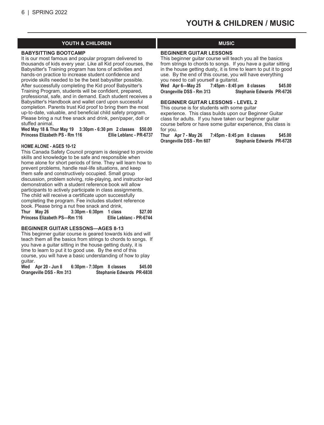### **YOUTH & CHILDREN MUSIC**

#### **BABYSITTING BOOTCAMP**

It is our most famous and popular program delivered to thousands of kids every year. Like all Kid proof courses, the Babysitter's Training program has tons of activities and hands-on practice to increase student confidence and provide skills needed to be the best babysitter possible. After successfully completing the Kid proof Babysitter's Training Program, students will be confident, prepared, professional, safe, and in demand. Each student receives a Babysitter's Handbook and wallet card upon successful completion. Parents trust Kid proof to bring them the most up-to-date, valuable, and beneficial child safety program. Please bring a nut free snack and drink, pen/paper, doll or stuffed animal.

**Wed May 18 & Thur May 19 3:30pm - 6:30 pm 2 classes \$50.00 Princess Elizabeth PS - Rm 116 Ellie Leblanc - PR-6737**

#### **HOME ALONE - AGES 10-12**

This Canada Safety Council program is designed to provide skills and knowledge to be safe and responsible when home alone for short periods of time. They will learn how to prevent problems, handle real-life situations, and keep them safe and constructively occupied. Small group discussion, problem solving, role-playing, and instructor-led demonstration with a student reference book will allow participants to actively participate in class assignments. The child will receive a certificate upon successfully completing the program. Fee includes student reference book. Please bring a nut free snack and drink, **Thur May 26 3:30pm - 6:30pm 1 class \$27.00**

**Princess Elizabeth PS—Rm 116 Ellie Leblanc - PR-6744**

#### **BEGINNER GUITAR LESSONS—AGES 8-13**

This beginner guitar course is geared towards kids and will teach them all the basics from strings to chords to songs. If you have a guitar sitting in the house getting dusty, it is time to learn to put it to good use. By the end of this course, you will have a basic understanding of how to play guitar.

**Wed Apr 20 - Jun 8 6:30pm - 7:30pm 8 classes \$45.00 Orangeville DSS - Rm 313 Stephanie Edwards PR-6838**

#### **BEGINNER GUITAR LESSONS**

This beginner guitar course will teach you all the basics from strings to chords to songs. If you have a guitar sitting in the house getting dusty, it is time to learn to put it to good use. By the end of this course, you will have everything you need to call yourself a guitarist.

**Wed Apr 6—May 25 7:45pm - 8:45 pm 8 classes \$45.00** Stephanie Edwards PR-6726

#### **BEGINNER GUITAR LESSONS - LEVEL 2**

This course is for students with some guitar experience. This class builds upon our Beginner Guitar class for adults. If you have taken our beginner guitar course before or have some guitar experience, this class is for you.

**Thur Apr 7 - May 26 7:45pm - 8:45 pm 8 classes \$45.00 Orangeville DSS - Rm 607 Stephanie Edwards PR-6728**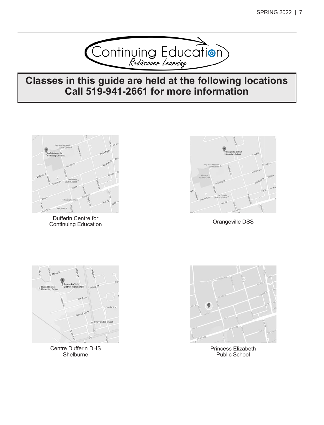

# **Classes in this guide are held at the following locations Call 519-941-2661 for more information**



Dufferin Centre for<br>
Continuing Education<br>
Continuing Education Continuing Education





Centre Dufferin DHS **Shelburne** 



Princess Elizabeth Public School